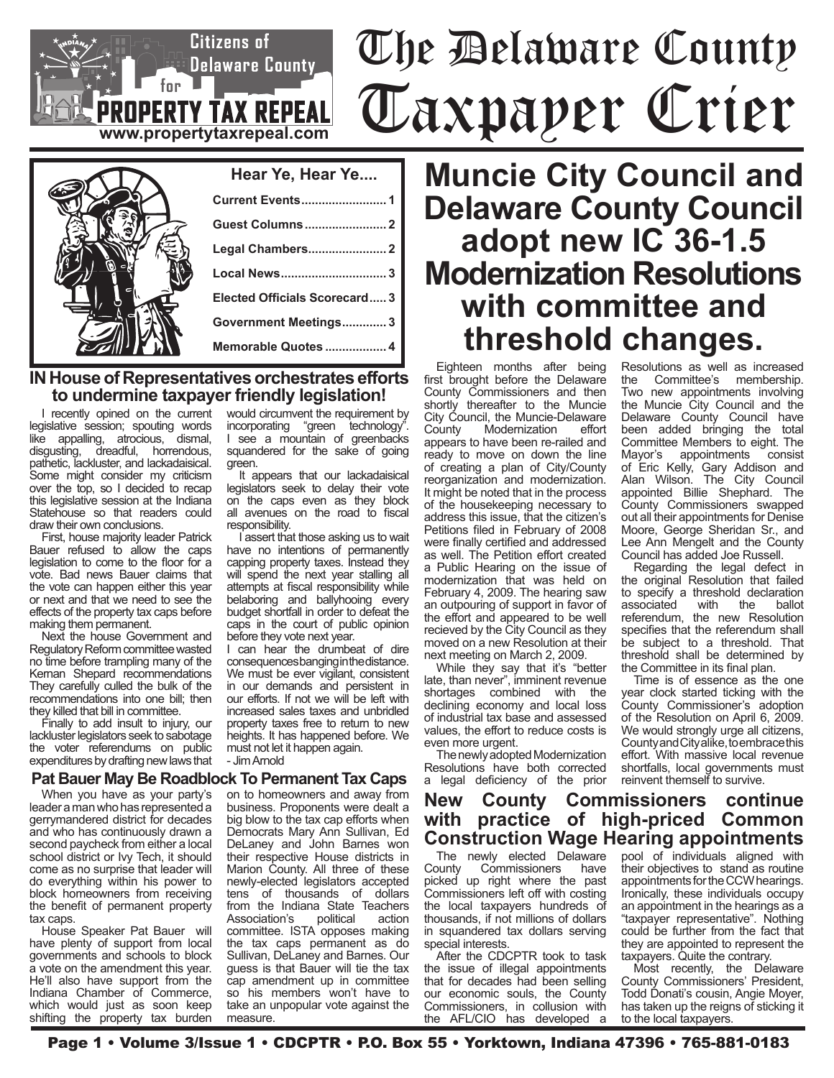# The Delaware County Taxpayer Crier



 $\mathsf{F}_{\mathsf{for}}$  is

### **Hear Ye, Hear Ye.... Current Events......................... 1 Guest Columns........................ 2 Legal Chambers....................... 2 Local News............................... 3 Elected Officials Scorecard..... 3 Government Meetings............. 3 Memorable Quotes .................. 4**

#### **IN House of Representatives orchestrates efforts to undermine taxpayer friendly legislation!**

**www.propertytaxrepeal.com**

**PROPERTY TAX REPEAL** 

**Citizens** of

 $\subseteq$  Delaware County $\_\,$ 

I recently opined on the current legislative session; spouting words like appalling, atrocious, dismal, disgusting, dreadful, horrendous, pathetic, lackluster, and lackadaisical. Some might consider my criticism over the top, so I decided to recap this legislative session at the Indiana Statehouse so that readers could draw their own conclusions.

First, house majority leader Patrick Bauer refused to allow the caps legislation to come to the floor for a vote. Bad news Bauer claims that the vote can happen either this year or next and that we need to see the effects of the property tax caps before making them permanent.

Next the house Government and Regulatory Reform committee wasted no time before trampling many of the Kernan Shepard recommendations They carefully culled the bulk of the recommendations into one bill; then they killed that bill in committee.

Finally to add insult to injury, our lackluster legislators seek to sabotage the voter referendums on public expenditures by drafting new laws that

#### **Pat Bauer May Be Roadblock To Permanent Tax Caps**

When you have as your party's leader a man who has represented a gerrymandered district for decades and who has continuously drawn a second paycheck from either a local school district or Ivy Tech, it should come as no surprise that leader will do everything within his power to block homeowners from receiving the benefit of permanent property tax caps.

House Speaker Pat Bauer will have plenty of support from local governments and schools to block a vote on the amendment this year. He'll also have support from the Indiana Chamber of Commerce, which would just as soon keep shifting the property tax burden would circumvent the requirement by incorporating "green technology". I see a mountain of greenbacks squandered for the sake of going green.

It appears that our lackadaisical legislators seek to delay their vote on the caps even as they block all avenues on the road to fiscal responsibility.

I assert that those asking us to wait have no intentions of permanently capping property taxes. Instead they will spend the next year stalling all attempts at fiscal responsibility while belaboring and ballyhooing every budget shortfall in order to defeat the caps in the court of public opinion before they vote next year.

I can hear the drumbeat of dire consequences banging in the distance. We must be ever vigilant, consistent in our demands and persistent in our efforts. If not we will be left with increased sales taxes and unbridled property taxes free to return to new heights. It has happened before. We must not let it happen again. - Jim Arnold

on to homeowners and away from business. Proponents were dealt a

big blow to the tax cap efforts when Democrats Mary Ann Sullivan, Ed DeLaney and John Barnes won their respective House districts in Marion County. All three of these newly-elected legislators accepted tens of thousands of dollars from the Indiana State Teachers<br>Association's political action Association's committee. ISTA opposes making the tax caps permanent as do Sullivan, DeLaney and Barnes. Our guess is that Bauer will tie the tax cap amendment up in committee so his members won't have to take an unpopular vote against the measure.

**Muncie City Council and Delaware County Council adopt new IC 36-1.5 Modernization Resolutions with committee and threshold changes.**

Eighteen months after being first brought before the Delaware County Commissioners and then shortly thereafter to the Muncie City Council, the Muncie-Delaware County Modernization effort appears to have been re-railed and ready to move on down the line of creating a plan of City/County reorganization and modernization. It might be noted that in the process of the housekeeping necessary to address this issue, that the citizen's Petitions filed in February of 2008 were finally certified and addressed as well. The Petition effort created a Public Hearing on the issue of modernization that was held on February 4, 2009. The hearing saw an outpouring of support in favor of the effort and appeared to be well recieved by the City Council as they moved on a new Resolution at their next meeting on March 2, 2009.

While they say that it's "better late, than never", imminent revenue shortages combined with the declining economy and local loss of industrial tax base and assessed values, the effort to reduce costs is even more urgent.

The newly adopted Modernization Resolutions have both corrected a legal deficiency of the prior

#### **New County Commissioners continue with practice of high-priced Common Construction Wage Hearing appointments**

The newly elected Delaware<br>County Commissioners have Commissioners picked up right where the past Commissioners left off with costing the local taxpayers hundreds of thousands, if not millions of dollars in squandered tax dollars serving special interests.

After the CDCPTR took to task the issue of illegal appointments that for decades had been selling our economic souls, the County Commissioners, in collusion with the AFL/CIO has developed a

Resolutions as well as increased<br>the Committee's membership Committee's membership. Two new appointments involving the Muncie City Council and the Delaware County Council have been added bringing the total Committee Members to eight. The<br>Mayor's appointments consist appointments of Eric Kelly, Gary Addison and Alan Wilson. The City Council appointed Billie Shephard. The County Commissioners swapped out all their appointments for Denise Moore, George Sheridan Sr., and Lee Ann Mengelt and the County Council has added Joe Russell.

Regarding the legal defect in the original Resolution that failed to specify a threshold declaration<br>associated with the ballot associated referendum, the new Resolution specifies that the referendum shall be subject to a threshold. That threshold shall be determined by the Committee in its final plan.

Time is of essence as the one year clock started ticking with the County Commissioner's adoption of the Resolution on April 6, 2009. We would strongly urge all citizens, County and City alike, to embrace this effort. With massive local revenue shortfalls, local governments must reinvent themself to survive.

pool of individuals aligned with their objectives to stand as routine appointments for the CCW hearings. Ironically, these individuals occupy an appointment in the hearings as a "taxpayer representative". Nothing could be further from the fact that they are appointed to represent the taxpayers. Quite the contrary.

Most recently, the Delaware County Commissioners' President, Todd Donati's cousin, Angie Moyer, has taken up the reigns of sticking it to the local taxpayers.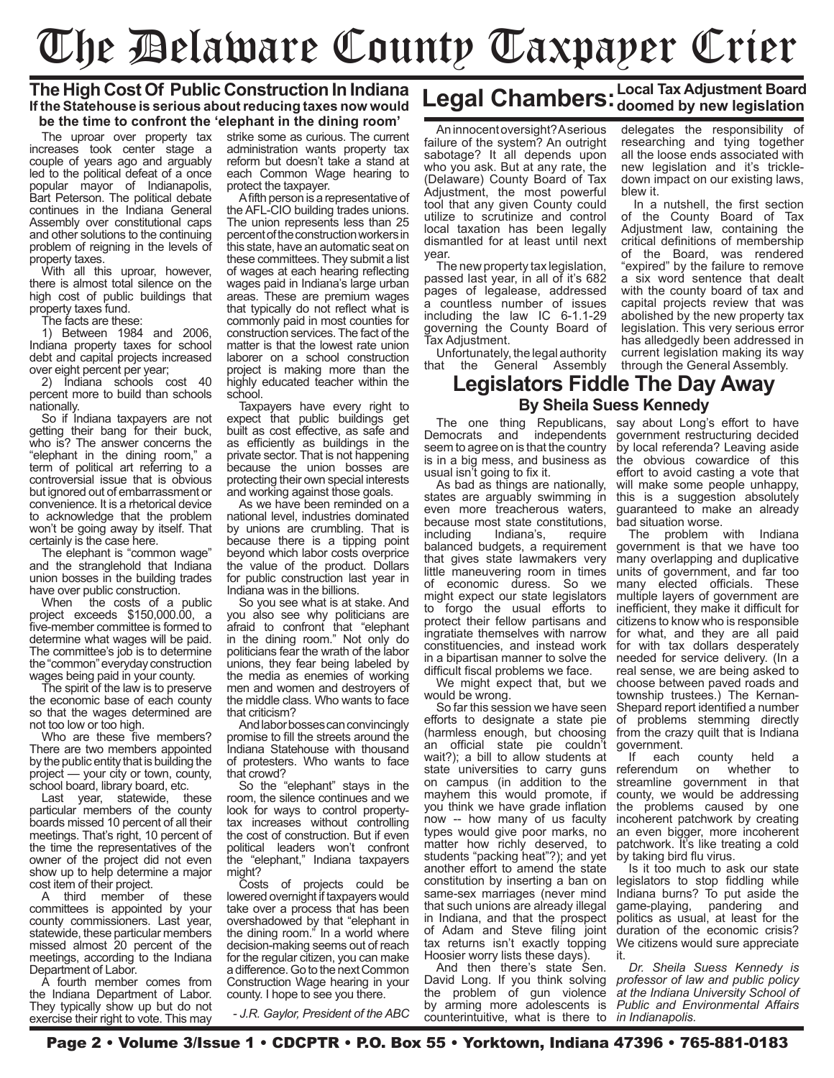# The Delaware County Taxpayer Crier

#### **The High Cost Of Public Construction In Indiana If the Statehouse is serious about reducing taxes now would be the time to confront the 'elephant in the dining room'**

The uproar over property tax increases took center stage a couple of years ago and arguably led to the political defeat of a once popular mayor of Indianapolis, Bart Peterson. The political debate continues in the Indiana General Assembly over constitutional caps and other solutions to the continuing problem of reigning in the levels of property taxes.

With all this uproar, however, there is almost total silence on the high cost of public buildings that property taxes fund.

The facts are these:

1) Between 1984 and 2006, Indiana property taxes for school debt and capital projects increased over eight percent per year;

2) Indiana schools cost 40 percent more to build than schools nationally.

So if Indiana taxpayers are not getting their bang for their buck, who is? The answer concerns the "elephant in the dining room," a term of political art referring to a controversial issue that is obvious but ignored out of embarrassment or convenience. It is a rhetorical device to acknowledge that the problem won't be going away by itself. That certainly is the case here.

The elephant is "common wage" and the stranglehold that Indiana union bosses in the building trades have over public construction.

When the costs of a public project exceeds \$150,000.00, a five-member committee is formed to determine what wages will be paid. The committee's job is to determine the "common" everyday construction wages being paid in your county.

The spirit of the law is to preserve the economic base of each county so that the wages determined are not too low or too high.

Who are these five members? There are two members appointed by the public entity that is building the project — your city or town, county, school board, library board, etc.

Last year, statewide, these particular members of the county boards missed 10 percent of all their meetings. That's right, 10 percent of the time the representatives of the owner of the project did not even show up to help determine a major cost item of their project.

A third member of these committees is appointed by your county commissioners. Last year, statewide, these particular members missed almost 20 percent of the meetings, according to the Indiana Department of Labor.

A fourth member comes from the Indiana Department of Labor. They typically show up but do not exercise their right to vote. This may

strike some as curious. The current administration wants property tax reform but doesn't take a stand at each Common Wage hearing to protect the taxpayer.

A fifth person is a representative of the AFL-CIO building trades unions. The union represents less than 25 percent of the construction workers in this state, have an automatic seat on these committees. They submit a list of wages at each hearing reflecting wages paid in Indiana's large urban areas. These are premium wages that typically do not reflect what is commonly paid in most counties for construction services. The fact of the matter is that the lowest rate union laborer on a school construction project is making more than the highly educated teacher within the school.

Taxpayers have every right to expect that public buildings get built as cost effective, as safe and as efficiently as buildings in the private sector. That is not happening because the union bosses are protecting their own special interests and working against those goals.

As we have been reminded on a national level, industries dominated by unions are crumbling. That is because there is a tipping point beyond which labor costs overprice the value of the product. Dollars for public construction last year in Indiana was in the billions.

So you see what is at stake. And you also see why politicians are afraid to confront that "elephant in the dining room." Not only do politicians fear the wrath of the labor unions, they fear being labeled by the media as enemies of working men and women and destroyers of the middle class. Who wants to face that criticism?

And labor bosses can convincingly promise to fill the streets around the Indiana Statehouse with thousand of protesters. Who wants to face that crowd?

So the "elephant" stays in the room, the silence continues and we look for ways to control propertytax increases without controlling the cost of construction. But if even political leaders won't confront the "elephant," Indiana taxpayers might?

Costs of projects could be lowered overnight if taxpayers would take over a process that has been overshadowed by that "elephant in the dining room." In a world where decision-making seems out of reach for the regular citizen, you can make a difference. Go to the next Common Construction Wage hearing in your county. I hope to see you there.

*- J.R. Gaylor, President of the ABC*

## Legal Chambers: Local Tax Adjustment Board **Legal Chambers:** doomed by new legislation

An innocent oversight? A serious failure of the system? An outright sabotage? It all depends upon who you ask. But at any rate, the (Delaware) County Board of Tax Adjustment, the most powerful tool that any given County could utilize to scrutinize and control local taxation has been legally dismantled for at least until next year.

The new property tax legislation, passed last year, in all of it's 682 pages of legalease, addressed a countless number of issues including the law IC 6-1.1-29 governing the County Board of Tax Adjustment.

Unfortunately, the legal authority<br>that the General Assembly General Assembly delegates the responsibility of researching and tying together all the loose ends associated with new legislation and it's trickledown impact on our existing laws, blew it.

In a nutshell, the first section of the County Board of Tax Adjustment law, containing the critical definitions of membership of the Board, was rendered "expired" by the failure to remove a six word sentence that dealt with the county board of tax and capital projects review that was abolished by the new property tax legislation. This very serious error has alledgedly been addressed in current legislation making its way through the General Assembly.

#### **Legislators Fiddle The Day Away By Sheila Suess Kennedy**

Democrats and independents seem to agree on is that the country is in a big mess, and business as usual isn't going to fix it.

As bad as things are nationally, states are arguably swimming in this is a suggestion absolutely even more treacherous waters, because most state constitutions,<br>including lndiana's, require Indiana's, require balanced budgets, a requirement that gives state lawmakers very little maneuvering room in times of economic duress. So we might expect our state legislators to forgo the usual efforts to protect their fellow partisans and ingratiate themselves with narrow constituencies, and instead work in a bipartisan manner to solve the difficult fiscal problems we face.

We might expect that, but we would be wrong.

So far this session we have seen efforts to designate a state pie (harmless enough, but choosing an official state pie couldn't wait?); a bill to allow students at state universities to carry guns on campus (in addition to the mayhem this would promote, if you think we have grade inflation now -- how many of us faculty types would give poor marks, no matter how richly deserved, to students "packing heat"?); and yet another effort to amend the state constitution by inserting a ban on same-sex marriages (never mind that such unions are already illegal in Indiana, and that the prospect of Adam and Steve filing joint tax returns isn't exactly topping Hoosier worry lists these days).

And then there's state Sen. David Long. If you think solving the problem of gun violence by arming more adolescents is counterintuitive, what is there to

The one thing Republicans, say about Long's effort to have government restructuring decided by local referenda? Leaving aside the obvious cowardice of this effort to avoid casting a vote that will make some people unhappy, guaranteed to make an already bad situation worse.

The problem with Indiana government is that we have too many overlapping and duplicative units of government, and far too many elected officials. These multiple layers of government are inefficient, they make it difficult for citizens to know who is responsible for what, and they are all paid for with tax dollars desperately needed for service delivery. (In a real sense, we are being asked to choose between paved roads and township trustees.) The Kernan-Shepard report identified a number of problems stemming directly from the crazy quilt that is Indiana

government.<br>If each If each county held a<br>referendum on whether to on whether to<br>
overnment in that streamline government in county, we would be addressing the problems caused by one incoherent patchwork by creating an even bigger, more incoherent patchwork. It's like treating a cold by taking bird flu virus.

Is it too much to ask our state legislators to stop fiddling while Indiana burns? To put aside the game-playing, pandering and politics as usual, at least for the duration of the economic crisis? We citizens would sure appreciate it.

*Dr. Sheila Suess Kennedy is professor of law and public policy at the Indiana University School of Public and Environmental Affairs in Indianapolis.*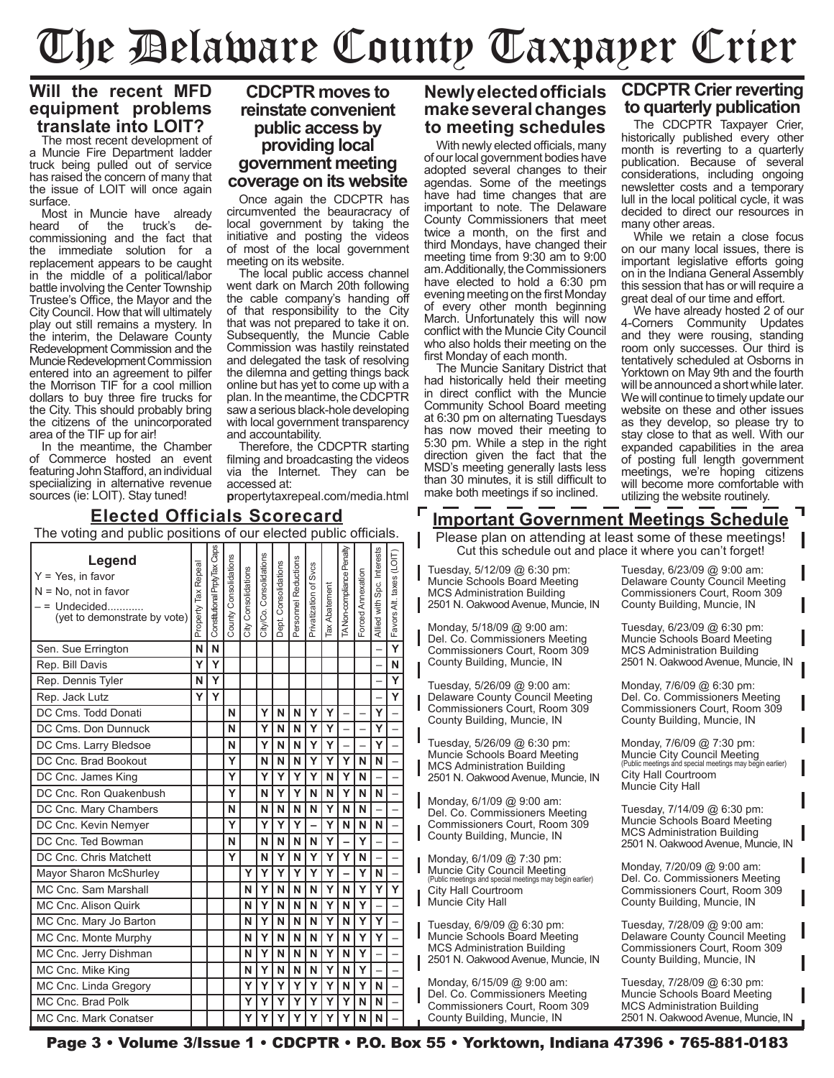## The Delaware County Taxpayer Crier

#### **Will the recent MFD equipment problems translate into LOIT?**

The most recent development of a Muncie Fire Department ladder truck being pulled out of service has raised the concern of many that the issue of LOIT will once again surface.

Most in Muncie have already<br>heard of the truck's dethe truck's decommissioning and the fact that the immediate solution for a replacement appears to be caught in the middle of a political/labor battle involving the Center Township Trustee's Office, the Mayor and the City Council. How that will ultimately play out still remains a mystery. In the interim, the Delaware County Redevelopment Commission and the Muncie Redevelopment Commission entered into an agreement to pilfer the Morrison TIF for a cool million dollars to buy three fire trucks for the City. This should probably bring the citizens of the unincorporated area of the TIF up for air!

In the meantime, the Chamber of Commerce hosted an event featuring John Stafford, an individual speciializing in alternative revenue sources (ie: LOIT). Stay tuned!

#### **CDCPTR moves to reinstate convenient public access by providing local government meeting coverage on its website**

Once again the CDCPTR has circumvented the beauracracy of local government by taking the initiative and posting the videos of most of the local government meeting on its website.

The local public access channel went dark on March 20th following the cable company's handing off of that responsibility to the City that was not prepared to take it on. Subsequently, the Muncie Cable Commission was hastily reinstated and delegated the task of resolving the dilemna and getting things back online but has yet to come up with a plan. In the meantime, the CDCPTR saw a serious black-hole developing with local government transparency and accountability.

Therefore, the CDCPTR starting filming and broadcasting the videos via the Internet. They can be accessed at:

**p**ropertytaxrepeal.com/media.html

#### **Newly elected officials make several changes to meeting schedules**

With newly elected officials, many of our local government bodies have adopted several changes to their agendas. Some of the meetings have had time changes that are important to note. The Delaware County Commissioners that meet twice a month, on the first and third Mondays, have changed their meeting time from 9:30 am to 9:00 am. Additionally, the Commissioners have elected to hold a 6:30 pm evening meeting on the first Monday of every other month beginning March. Unfortunately this will now conflict with the Muncie City Council who also holds their meeting on the first Monday of each month.

The Muncie Sanitary District that had historically held their meeting in direct conflict with the Muncie Community School Board meeting at 6:30 pm on alternating Tuesdays has now moved their meeting to 5:30 pm. While a step in the right direction given the fact that the MSD's meeting generally lasts less than 30 minutes, it is still difficult to make both meetings if so inclined.

#### **CDCPTR Crier reverting to quarterly publication**

The CDCPTR Taxpayer Crier, historically published every other month is reverting to a quarterly publication. Because of several considerations, including ongoing newsletter costs and a temporary lull in the local political cycle, it was decided to direct our resources in many other areas.

While we retain a close focus on our many local issues, there is important legislative efforts going on in the Indiana General Assembly this session that has or will require a great deal of our time and effort.

We have already hosted 2 of our 4-Corners Community Updates and they were rousing, standing room only successes. Our third is tentatively scheduled at Osborns in Yorktown on May 9th and the fourth will be announced a short while later. We will continue to timely update our website on these and other issues as they develop, so please try to stay close to that as well. With our expanded capabilities in the area of posting full length government meetings, we're hoping citizens will become more comfortable with utilizing the website routinely.

#### **Elected Officials Scorecard**

| The voting and public positions of our elected public officials.                                           |                     |                              |                       |                     |                         |                      |                      |                       |                      |                           |                   |                            |                          |
|------------------------------------------------------------------------------------------------------------|---------------------|------------------------------|-----------------------|---------------------|-------------------------|----------------------|----------------------|-----------------------|----------------------|---------------------------|-------------------|----------------------------|--------------------------|
| Legend<br>$Y = Yes$ , in favor<br>$N = No$ , not in favor<br>$=$ Undecided<br>(yet to demonstrate by vote) | Property Tax Repeal | Constitutional PrptyTax Caps | County Consolidations | City Consolidations | City/Co. Consolidations | Dept. Consolidations | Personnel Reductions | Privatization of Svcs | <b>Tax Abatement</b> | TA Non-compliance Penalty | Forced Annexation | Allied with Spc. Interests | Favors Alt. taxes (LOIT) |
| Sen. Sue Errington                                                                                         | N                   | N                            |                       |                     |                         |                      |                      |                       |                      |                           |                   |                            | $\overline{\mathsf{Y}}$  |
| Rep. Bill Davis                                                                                            | Ý                   | Ý                            |                       |                     |                         |                      |                      |                       |                      |                           |                   |                            | N                        |
| Rep. Dennis Tyler                                                                                          | N                   | Y                            |                       |                     |                         |                      |                      |                       |                      |                           |                   |                            | Ÿ                        |
| Rep. Jack Lutz                                                                                             | Υ                   | Y                            |                       |                     |                         |                      |                      |                       |                      |                           |                   |                            | Ý                        |
| DC Cms. Todd Donati                                                                                        |                     |                              | N                     |                     | Y                       | N                    | N                    | Y                     | Y                    |                           |                   | Y                          |                          |
| DC Cms. Don Dunnuck                                                                                        |                     |                              | N                     |                     | Ý                       | N                    | N                    | Ý                     | Ý                    |                           |                   | Ý                          |                          |
| DC Cms. Larry Bledsoe                                                                                      |                     |                              | N                     |                     | Y                       | N                    | N                    | Ý                     | Y                    |                           |                   | Ý                          |                          |
| DC Cnc. Brad Bookout                                                                                       |                     |                              | Ý                     |                     | N                       | N                    | N                    | Ý                     | Y                    | Y                         | N                 | N                          |                          |
| DC Cnc. James King                                                                                         |                     |                              | Ý                     |                     | Υ                       | Y                    | Y                    | Ý                     | N                    | Ý                         | N                 |                            |                          |
| DC Cnc. Ron Quakenbush                                                                                     |                     |                              | Ý                     |                     | N                       | Y                    | Ý                    | N                     | N                    | Ý                         | N                 | N                          |                          |
| DC Cnc. Mary Chambers                                                                                      |                     |                              | N                     |                     | N                       | N                    | N                    | N                     | Ý                    | N                         | N                 |                            |                          |
| DC Cnc. Kevin Nemyer                                                                                       |                     |                              | Ý                     |                     | Υ                       | Y                    | Y                    |                       | Ý                    | N                         | N                 | N                          |                          |
| DC Cnc. Ted Bowman                                                                                         |                     |                              | N                     |                     | N                       | N                    | N                    | N                     | Ý                    |                           | Y                 |                            |                          |
| DC Cnc. Chris Matchett                                                                                     |                     |                              | Ý                     |                     | N                       | Y                    | N                    | Ý                     | Ý                    | Ý                         | N                 |                            |                          |
| Mayor Sharon McShurley                                                                                     |                     |                              |                       | Ý                   | Y                       | Ý                    | Ý                    | Ý                     | Ý                    |                           | Ý                 | N                          |                          |
| MC Cnc. Sam Marshall                                                                                       |                     |                              |                       | N                   | Y                       | N                    | N                    | N                     | Y                    | N                         | Y                 | Y                          | Ý                        |
| MC Cnc. Alison Quirk                                                                                       |                     |                              |                       | N                   | Ý                       | N                    | N                    | N                     | Y                    | N                         | Y                 |                            |                          |
| MC Cnc. Mary Jo Barton                                                                                     |                     |                              |                       | N                   | Y                       | N                    | N                    | N                     | Y                    | N                         | Y                 | Ý                          |                          |
| MC Cnc. Monte Murphy                                                                                       |                     |                              |                       | N                   | Ý                       | N                    | N                    | N                     | Ý                    | N                         | Y                 | Ý                          |                          |
| MC Cnc. Jerry Dishman                                                                                      |                     |                              |                       | N                   | Ý                       | N                    | N                    | N                     | Ý                    | N                         | Y                 |                            |                          |
| MC Cnc. Mike King                                                                                          |                     |                              |                       | N                   | Ý                       | N                    | N                    | N                     | Y                    | N                         | Y                 |                            |                          |
| MC Cnc. Linda Gregory                                                                                      |                     |                              |                       | Y                   | Ý                       | Y                    | Ý                    | Ÿ                     | Ý                    | N                         | Ÿ                 | N                          |                          |
| MC Cnc. Brad Polk                                                                                          |                     |                              |                       | Y                   | Y                       | Y                    | Y                    | Ý                     | Y                    | Y                         | N                 | N                          |                          |
| MC Cnc. Mark Conatser                                                                                      |                     |                              |                       | Ý                   | Ý                       | Y                    | Ý                    | Ý                     | Ý                    | Ý                         | N                 | N                          |                          |

**Important Government Meetings Schedule**

Please plan on attending at least some of these meetings! Cut this schedule out and place it where you can't forget!

Tuesday, 5/12/09 @ 6:30 pm: Muncie Schools Board Meeting MCS Administration Building 2501 N. Oakwood Avenue, Muncie, IN

Monday, 5/18/09 @ 9:00 am: Del. Co. Commissioners Meeting Commissioners Court, Room 309 County Building, Muncie, IN

Tuesday, 5/26/09 @ 9:00 am: Delaware County Council Meeting Commissioners Court, Room 309 County Building, Muncie, IN

Tuesday, 5/26/09 @ 6:30 pm: Muncie Schools Board Meeting MCS Administration Building 2501 N. Oakwood Avenue, Muncie, IN

Monday, 6/1/09 @ 9:00 am: Del. Co. Commissioners Meeting Commissioners Court, Room 309 County Building, Muncie, IN

Monday, 6/1/09 @ 7:30 pm: Muncie City Council Meeting (Public meetings and special meetings may begin earlier) City Hall Courtroom Muncie City Hall

Tuesday, 6/9/09 @ 6:30 pm: Muncie Schools Board Meeting MCS Administration Building 2501 N. Oakwood Avenue, Muncie, IN

Monday, 6/15/09 @ 9:00 am: Del. Co. Commissioners Meeting Commissioners Court, Room 309 County Building, Muncie, IN

Tuesday, 6/23/09 @ 9:00 am: Delaware County Council Meeting Commissioners Court, Room 309 County Building, Muncie, IN

Tuesday, 6/23/09 @ 6:30 pm: Muncie Schools Board Meeting MCS Administration Building 2501 N. Oakwood Avenue, Muncie, IN

Monday, 7/6/09 @ 6:30 pm: Del. Co. Commissioners Meeting Commissioners Court, Room 309 County Building, Muncie, IN

Monday, 7/6/09 @ 7:30 pm: Muncie City Council Meeting s and special meetings may begin earlier) City Hall Courtroom Muncie City Hall

Tuesday, 7/14/09 @ 6:30 pm: Muncie Schools Board Meeting MCS Administration Building 2501 N. Oakwood Avenue, Muncie, IN

Monday, 7/20/09 @ 9:00 am: Del. Co. Commissioners Meeting Commissioners Court, Room 309 County Building, Muncie, IN

Tuesday, 7/28/09 @ 9:00 am: Delaware County Council Meeting Commissioners Court, Room 309 County Building, Muncie, IN

Tuesday, 7/28/09 @ 6:30 pm: Muncie Schools Board Meeting MCS Administration Building 2501 N. Oakwood Avenue, Muncie, IN

L